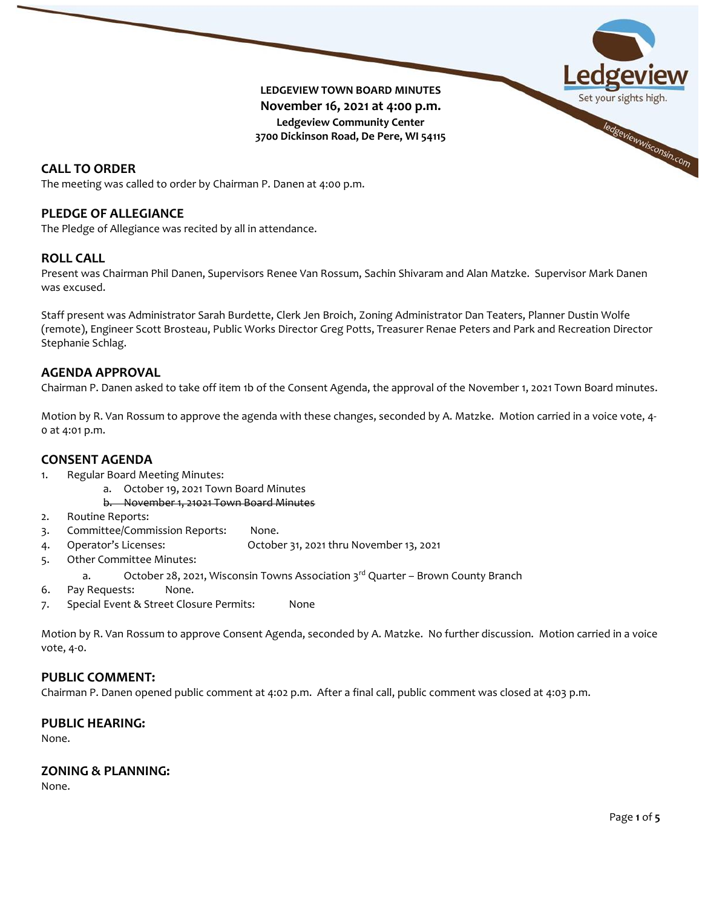

# The meeting was called to order by Chairman P. Danen at 4:00 p.m.

# **PLEDGE OF ALLEGIANCE**

The Pledge of Allegiance was recited by all in attendance.

# **ROLL CALL**

Present was Chairman Phil Danen, Supervisors Renee Van Rossum, Sachin Shivaram and Alan Matzke. Supervisor Mark Danen was excused.

Staff present was Administrator Sarah Burdette, Clerk Jen Broich, Zoning Administrator Dan Teaters, Planner Dustin Wolfe (remote), Engineer Scott Brosteau, Public Works Director Greg Potts, Treasurer Renae Peters and Park and Recreation Director Stephanie Schlag.

### **AGENDA APPROVAL**

Chairman P. Danen asked to take off item 1b of the Consent Agenda, the approval of the November 1, 2021 Town Board minutes.

Motion by R. Van Rossum to approve the agenda with these changes, seconded by A. Matzke. Motion carried in a voice vote, 4- 0 at 4:01 p.m.

# **CONSENT AGENDA**

- 1. Regular Board Meeting Minutes:
	- a. October 19, 2021 Town Board Minutes
		- b. November 1, 21021 Town Board Minutes
- 2. Routine Reports:
- 3. Committee/Commission Reports: None.
- 4. Operator's Licenses: October 31, 2021 thru November 13, 2021
- 5. Other Committee Minutes:
	- a. October 28, 2021, Wisconsin Towns Association  $3<sup>rd</sup>$  Quarter Brown County Branch
- 6. Pay Requests: None.
- 7. Special Event & Street Closure Permits: None

Motion by R. Van Rossum to approve Consent Agenda, seconded by A. Matzke. No further discussion. Motion carried in a voice vote, 4-0.

#### **PUBLIC COMMENT:**

Chairman P. Danen opened public comment at 4:02 p.m. After a final call, public comment was closed at 4:03 p.m.

#### **PUBLIC HEARING:**

None.

# **ZONING & PLANNING:**

None.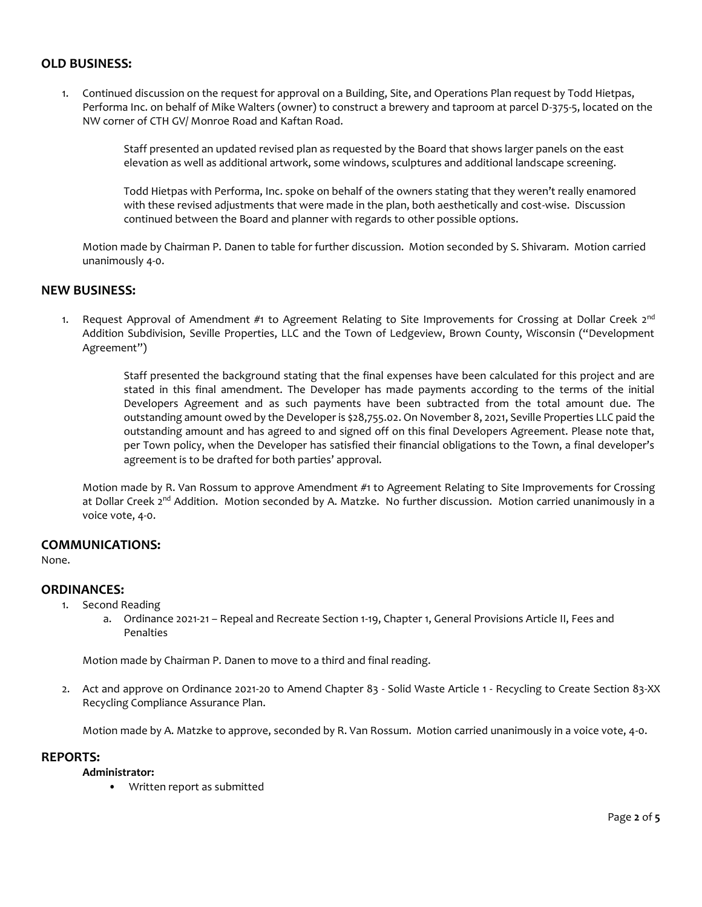### **OLD BUSINESS:**

1. Continued discussion on the request for approval on a Building, Site, and Operations Plan request by Todd Hietpas, Performa Inc. on behalf of Mike Walters (owner) to construct a brewery and taproom at parcel D-375-5, located on the NW corner of CTH GV/ Monroe Road and Kaftan Road.

> Staff presented an updated revised plan as requested by the Board that shows larger panels on the east elevation as well as additional artwork, some windows, sculptures and additional landscape screening.

Todd Hietpas with Performa, Inc. spoke on behalf of the owners stating that they weren't really enamored with these revised adjustments that were made in the plan, both aesthetically and cost-wise. Discussion continued between the Board and planner with regards to other possible options.

Motion made by Chairman P. Danen to table for further discussion. Motion seconded by S. Shivaram. Motion carried unanimously 4-0.

### **NEW BUSINESS:**

1. Request Approval of Amendment #1 to Agreement Relating to Site Improvements for Crossing at Dollar Creek  $2^{nd}$ Addition Subdivision, Seville Properties, LLC and the Town of Ledgeview, Brown County, Wisconsin ("Development Agreement")

> Staff presented the background stating that the final expenses have been calculated for this project and are stated in this final amendment. The Developer has made payments according to the terms of the initial Developers Agreement and as such payments have been subtracted from the total amount due. The outstanding amount owed by the Developer is \$28,755.02. On November 8, 2021, Seville Properties LLC paid the outstanding amount and has agreed to and signed off on this final Developers Agreement. Please note that, per Town policy, when the Developer has satisfied their financial obligations to the Town, a final developer's agreement is to be drafted for both parties' approval.

Motion made by R. Van Rossum to approve Amendment #1 to Agreement Relating to Site Improvements for Crossing at Dollar Creek 2<sup>nd</sup> Addition. Motion seconded by A. Matzke. No further discussion. Motion carried unanimously in a voice vote, 4-0.

# **COMMUNICATIONS:**

None.

#### **ORDINANCES:**

- 1. Second Reading
	- a. Ordinance 2021-21 Repeal and Recreate Section 1-19, Chapter 1, General Provisions Article II, Fees and Penalties

Motion made by Chairman P. Danen to move to a third and final reading.

2. Act and approve on Ordinance 2021-20 to Amend Chapter 83 - Solid Waste Article 1 - Recycling to Create Section 83-XX Recycling Compliance Assurance Plan.

Motion made by A. Matzke to approve, seconded by R. Van Rossum. Motion carried unanimously in a voice vote, 4-0.

#### **REPORTS:**

**Administrator:**

• Written report as submitted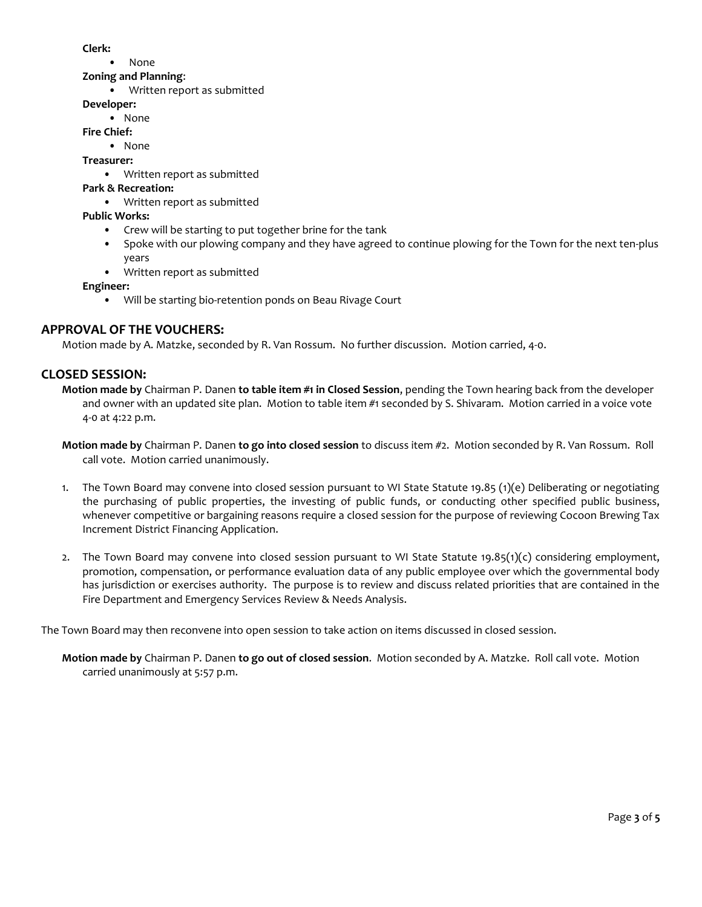**Clerk:**

- None
- **Zoning and Planning**:
	- Written report as submitted

### **Developer:**

**•** None

**Fire Chief:**

**•** None

**Treasurer:**

• Written report as submitted

# **Park & Recreation:**

• Written report as submitted

### **Public Works:**

- Crew will be starting to put together brine for the tank
- Spoke with our plowing company and they have agreed to continue plowing for the Town for the next ten-plus years
- Written report as submitted

**Engineer:**

• Will be starting bio-retention ponds on Beau Rivage Court

# **APPROVAL OF THE VOUCHERS:**

Motion made by A. Matzke, seconded by R. Van Rossum. No further discussion. Motion carried, 4-0.

# **CLOSED SESSION:**

**Motion made by** Chairman P. Danen **to table item #1 in Closed Session**, pending the Town hearing back from the developer and owner with an updated site plan. Motion to table item #1 seconded by S. Shivaram. Motion carried in a voice vote 4-0 at 4:22 p.m.

- **Motion made by** Chairman P. Danen **to go into closed session** to discuss item #2. Motion seconded by R. Van Rossum. Roll call vote. Motion carried unanimously.
- 1. The Town Board may convene into closed session pursuant to WI State Statute 19.85 (1)(e) Deliberating or negotiating the purchasing of public properties, the investing of public funds, or conducting other specified public business, whenever competitive or bargaining reasons require a closed session for the purpose of reviewing Cocoon Brewing Tax Increment District Financing Application.
- 2. The Town Board may convene into closed session pursuant to WI State Statute  $19.85(1)(c)$  considering employment, promotion, compensation, or performance evaluation data of any public employee over which the governmental body has jurisdiction or exercises authority. The purpose is to review and discuss related priorities that are contained in the Fire Department and Emergency Services Review & Needs Analysis.

The Town Board may then reconvene into open session to take action on items discussed in closed session.

**Motion made by** Chairman P. Danen **to go out of closed session**. Motion seconded by A. Matzke. Roll call vote. Motion carried unanimously at 5:57 p.m.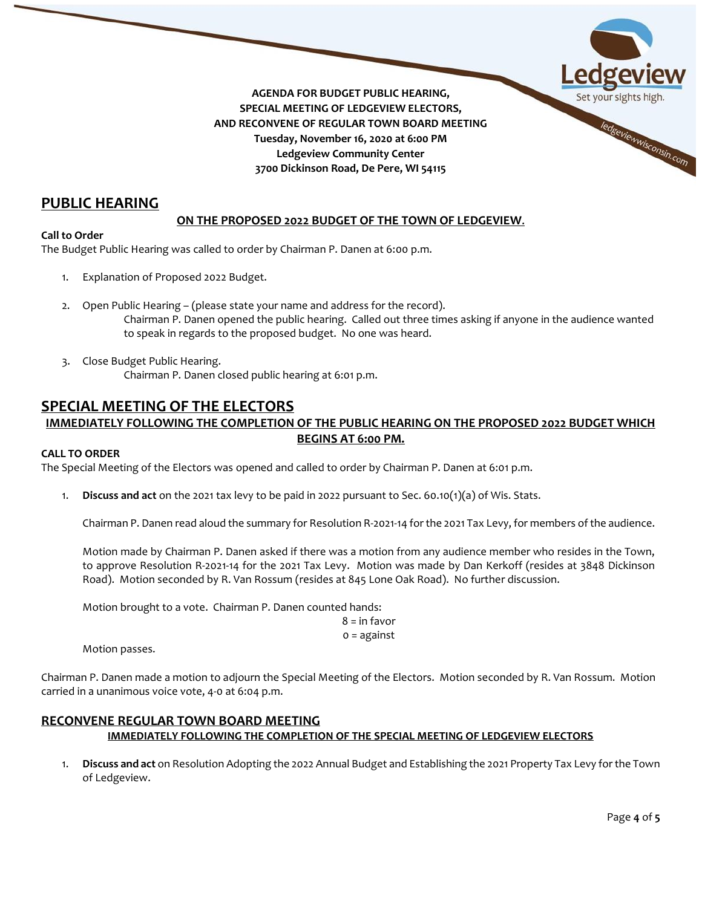

# **PUBLIC HEARING**

### **ON THE PROPOSED 2022 BUDGET OF THE TOWN OF LEDGEVIEW**.

#### **Call to Order**

The Budget Public Hearing was called to order by Chairman P. Danen at 6:00 p.m.

- 1. Explanation of Proposed 2022 Budget.
- 2. Open Public Hearing (please state your name and address for the record). Chairman P. Danen opened the public hearing. Called out three times asking if anyone in the audience wanted to speak in regards to the proposed budget. No one was heard.
- 3. Close Budget Public Hearing. Chairman P. Danen closed public hearing at 6:01 p.m.

# **SPECIAL MEETING OF THE ELECTORS**

# **IMMEDIATELY FOLLOWING THE COMPLETION OF THE PUBLIC HEARING ON THE PROPOSED 2022 BUDGET WHICH BEGINS AT 6:00 PM.**

#### **CALL TO ORDER**

The Special Meeting of the Electors was opened and called to order by Chairman P. Danen at 6:01 p.m.

1. **Discuss and act** on the 2021 tax levy to be paid in 2022 pursuant to Sec. 60.10(1)(a) of Wis. Stats.

Chairman P. Danen read aloud the summary for Resolution R-2021-14 for the 2021 Tax Levy, for members of the audience.

Motion made by Chairman P. Danen asked if there was a motion from any audience member who resides in the Town, to approve Resolution R-2021-14 for the 2021 Tax Levy. Motion was made by Dan Kerkoff (resides at 3848 Dickinson Road). Motion seconded by R. Van Rossum (resides at 845 Lone Oak Road). No further discussion.

Motion brought to a vote. Chairman P. Danen counted hands:

 $8 = \text{in}$  favor 0 = against

Motion passes.

Chairman P. Danen made a motion to adjourn the Special Meeting of the Electors. Motion seconded by R. Van Rossum. Motion carried in a unanimous voice vote, 4-0 at 6:04 p.m.

# **RECONVENE REGULAR TOWN BOARD MEETING IMMEDIATELY FOLLOWING THE COMPLETION OF THE SPECIAL MEETING OF LEDGEVIEW ELECTORS**

1. **Discuss and act** on Resolution Adopting the 2022 Annual Budget and Establishing the 2021 Property Tax Levy for the Town of Ledgeview.